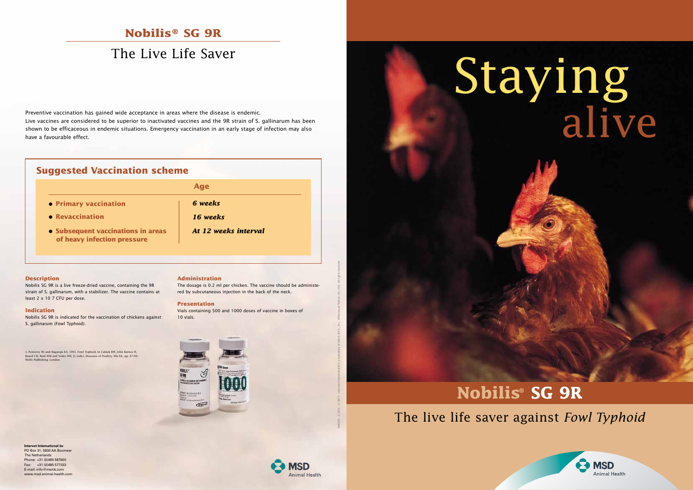# Staying alive

## **Nobilis® SG 9R**

## The Live Life Saver

#### 1. Pomeroy BS and Nagaraja KV, 1991. Fowl Typhoid. In Calnek BW, John Barnes H, Beard CW, Reid WM and Yoder HW, Jr. (eds.), Diseases of Poultry, 9th Ed., pp. 87-99. Wolfe Publishing. London

## **Suggested Vaccination scheme**

Nobilis SG 9R is a live freeze-dried vaccine, containing the 9R strain of S. gallinarum, with a stabilizer. The vaccine contains at least 2 x 10 7 CFU per dose.

Preventive vaccination has gained wide acceptance in areas where the disease is endemic. Live vaccines are considered to be superior to inactivated vaccines and the 9R strain of S. gallinarum has been shown to be efficaceous in endemic situations. Emergency vaccination in an early stage of infection may also have a favourable effect.

#### **Description**

**Intervet International bv** PO Box 31, 5830 AA Boxm

#### **Indication**

Nobilis SG 9R is indicated for the vaccination of chickens against S. gallinarum (Fowl Typhoid).

#### **Administration**

The dosage is 0.2 ml per chicken. The vaccine should be administered by subcutaneous injection in the back of the neck.

#### **Presentation**

Vials containing 500 and 1000 doses of vaccine in boxes of 10 vials.





## The live life saver against *Fowl Typhoid*





- **Primary vaccination**
- **Revaccination**

#### **Age**

*6 weeks*

- *16 weeks*
- •**Subsequent vaccinations in areas of heavy infection pressure**
- *At 12 weeks interval*

## **Nobilis® SG 9R**

 The Netherlands Phone: +31 (0)485 587600 Fax: +31 (0)485 577333 E-mail: info@merck.com www.msd-animal-health.com 060072 . 2.2012 . © 2011 . Intervet International B.V. a subsidiary of Merck & Co., Inc., Whitehouse Station, NJ, USA. All rights reserved.